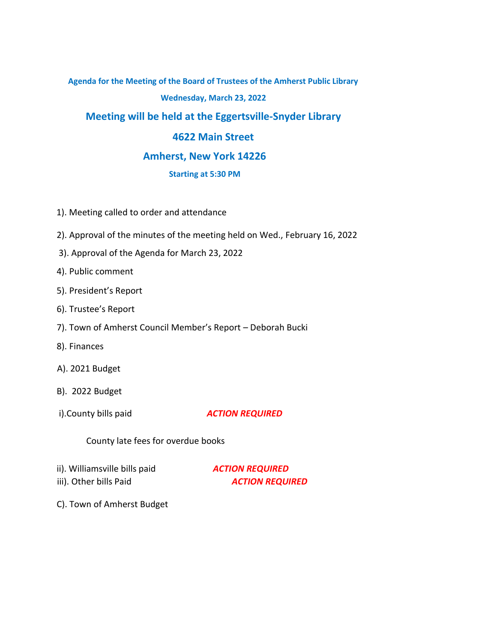# **Agenda for the Meeting of the Board of Trustees of the Amherst Public Library**

# **Wednesday, March 23, 2022**

# **Meeting will be held at the Eggertsville-Snyder Library**

# **4622 Main Street**

## **Amherst, New York 14226**

## **Starting at 5:30 PM**

- 1). Meeting called to order and attendance
- 2). Approval of the minutes of the meeting held on Wed., February 16, 2022
- 3). Approval of the Agenda for March 23, 2022
- 4). Public comment
- 5). President's Report
- 6). Trustee's Report
- 7). Town of Amherst Council Member's Report Deborah Bucki
- 8). Finances
- A). 2021 Budget
- B). 2022 Budget
- 

## i).County bills paid *ACTION REQUIRED*

County late fees for overdue books

- ii). Williamsville bills paid *ACTION REQUIRED*
- 

iii). Other bills Paid **ACTION REQUIRED** 

C). Town of Amherst Budget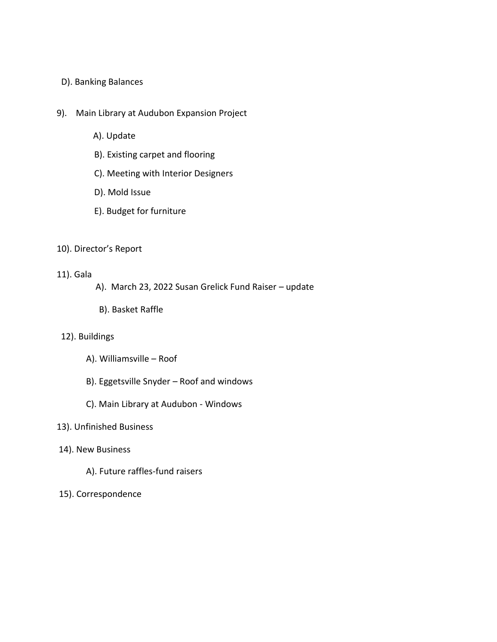### D). Banking Balances

- 9). Main Library at Audubon Expansion Project
	- A). Update
	- B). Existing carpet and flooring
	- C). Meeting with Interior Designers
	- D). Mold Issue
	- E). Budget for furniture

#### 10). Director's Report

#### 11). Gala

- A). March 23, 2022 Susan Grelick Fund Raiser update
- B). Basket Raffle

#### 12). Buildings

- A). Williamsville Roof
- B). Eggetsville Snyder Roof and windows
- C). Main Library at Audubon Windows

#### 13). Unfinished Business

- 14). New Business
	- A). Future raffles-fund raisers
- 15). Correspondence